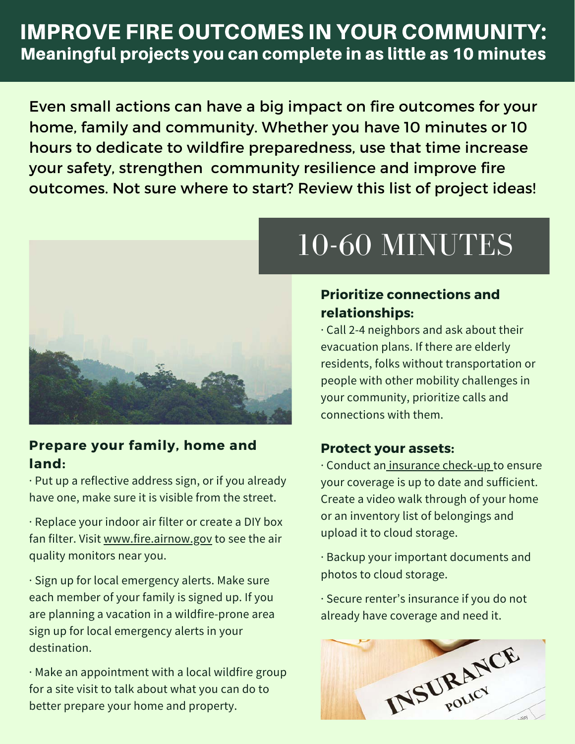# IMPROVE FIRE OUTCOMES IN YOUR COMMUNITY: Meaningful projects you can complete in as little as 10 minutes

Even small actions can have a big impact on fire outcomes for your home, family and community. Whether you have 10 minutes or 10 hours to dedicate to wildfire preparedness, use that time increase your safety, strengthen community resilience and improve fire outcomes. Not sure where to start? Review this list of project ideas!



## **Prepare your family, home and land:**

· Put up a reflective address sign, or if you already have one, make sure it is visible from the street.

[· Replace your indoor air filter or create a DIY box](https://www.youtube.com/watch?v=ukyF2xm8cws) fan filter. Visit [www.fire.airnow.gov](http://www.fire.airnow.gov/) to see the air quality monitors near you.

· Sign up for local emergency alerts. Make sure each member of your family is signed up. If you are planning a vacation in a wildfire-prone area sign up for local emergency alerts in your destination.

· Make an appointment with a local wildfire group for a site visit to talk about what you can do to better prepare your home and property.

# 10-60 MINUTES

## **Prioritize connections and relationships:**

· Call 2-4 neighbors and ask about their evacuation plans. If there are elderly residents, folks without transportation or people with other mobility challenges in your community, prioritize calls and connections with them.

### **Protect your assets:**

· Conduct an [insurance check-up](https://www.readyforwildfire.org/prepare-for-wildfire/get-set/insurance-preparedness/) to ensure your coverage is up to date and sufficient. Create a video walk through of your home or an inventory list of belongings and upload it to cloud storage.

· Backup your important documents and photos to cloud storage.

· Secure renter's insurance if you do not already have coverage and need it.

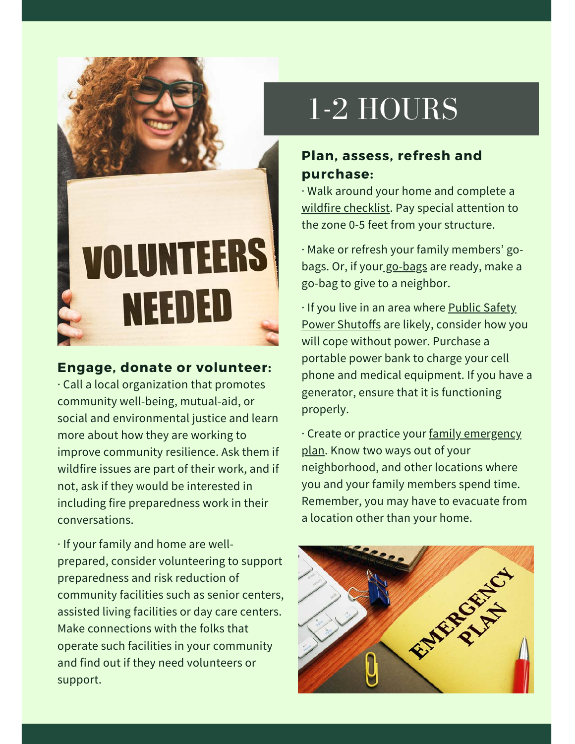

#### **Engage, donate or volunteer:**

· Call a local organization that promotes community well-being, mutual-aid, or social and environmental justice and learn more about how they are working to improve community resilience. Ask them if wildfire issues are part of their work, and if not, ask if they would be interested in including fire preparedness work in their conversations.

· If your family and home are wellprepared, consider volunteering to support preparedness and risk reduction of community facilities such as senior centers, assisted living facilities or day care centers. Make connections with the folks that operate such facilities in your community and find out if they need volunteers or support.

# 1-2 HOURS

### **Plan, assess, refresh and purchase:**

· Walk around your home and complete a [wildfire checklist](https://www.iafc.org/docs/default-source/default-document-library/wildfire-checklist_ibhs.pdf?sfvrsn=5bdedd0d_0). Pay special attention to the zone 0-5 feet from your structure.

[· Make or refresh your family members' go](https://www.ready.gov/kit)bags. Or, if you[r go-bags](https://www.ready.gov/kit) are ready, make a go-bag to give to a neighbor.

· If you live in an area where **Public Safety** [Power Shutoffs are likely, consider how yo](https://prepareforpowerdown.com/)u will cope without power. Purchase a portable power bank to charge your cell phone and medical equipment. If you have a generator, ensure that it is functioning properly.

[· Create or practice your family emergency](https://www.ready.gov/plan) plan. Know two ways out of your neighborhood, and other locations where you and your family members spend time. Remember, you may have to evacuate from a location other than your home.

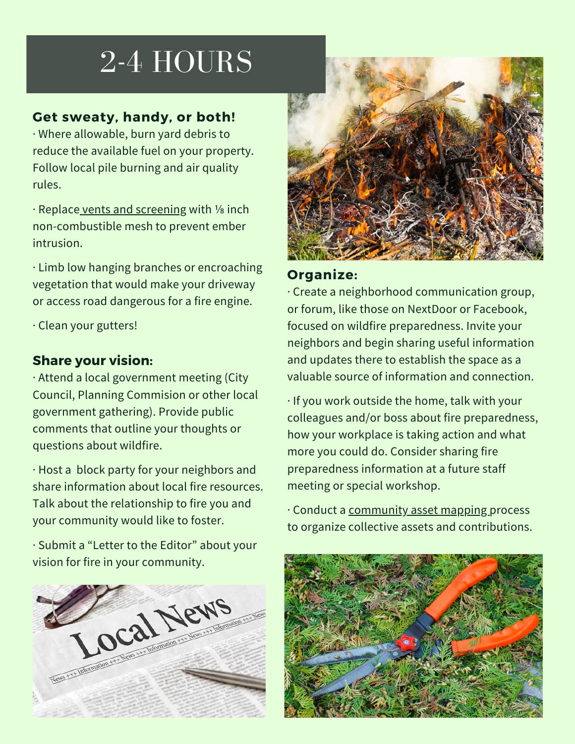# 2-4 HOURS

### **Get sweaty, handy, or both!**

· Where allowable, burn yard debris to reduce the available fuel on your property. Follow local pile burning and air quality rules.

· Replace [vents and screening](https://www.nfpa.org/-/media/Files/Firewise/Fact-sheets/FirewiseFactSheetsAtticsCrawlSpaces.ashx?la=en) with ⅛ inch non-combustible mesh to prevent ember intrusion.

· Limb low hanging branches or encroaching vegetation that would make your driveway or access road dangerous for a fire engine.

· Clean your gutters!

### **Share your vision:**

· Attend a local government meeting (City Council, Planning Commision or other local government gathering). Provide public comments that outline your thoughts or questions about wildfire.

· Host a block party for your neighbors and share information about local fire resources. Talk about the relationship to fire you and your community would like to foster.

· Submit a "Letter to the Editor" about your vision for fire in your community.





#### **Organize:**

· Create a neighborhood communication group, or forum, like those on NextDoor or Facebook, focused on wildfire preparedness. Invite your neighbors and begin sharing useful information and updates there to establish the space as a valuable source of information and connection.

· If you work outside the home, talk with your colleagues and/or boss about fire preparedness, how your workplace is taking action and what more you could do. Consider sharing fire preparedness information at a future staff meeting or special workshop.

· Conduct a [community asset mapping](https://fireadaptednetwork.org/community-based-asset-mapping-fire-adaptation/) process to organize collective assets and contributions.